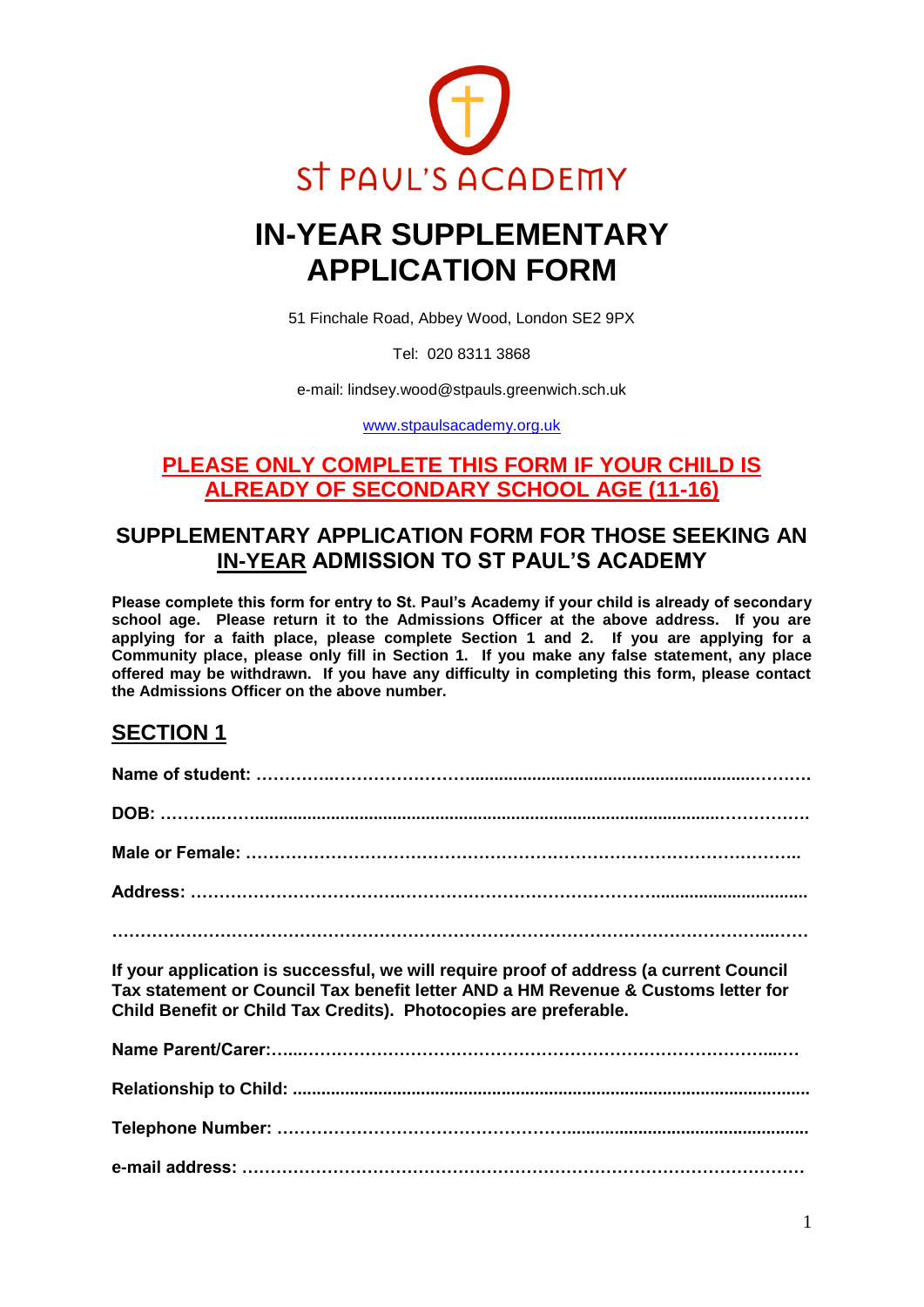

# **IN-YEAR SUPPLEMENTARY APPLICATION FORM**

51 Finchale Road, Abbey Wood, London SE2 9PX

Tel: 020 8311 3868

e-mail: lindsey.wood@stpauls.greenwich.sch.uk

[www.stpaulsacademy.org.uk](http://www.stpaulsacademy.org.uk/)

#### **PLEASE ONLY COMPLETE THIS FORM IF YOUR CHILD IS ALREADY OF SECONDARY SCHOOL AGE (11-16)**

## **SUPPLEMENTARY APPLICATION FORM FOR THOSE SEEKING AN IN-YEAR ADMISSION TO ST PAUL'S ACADEMY**

**Please complete this form for entry to St. Paul's Academy if your child is already of secondary school age. Please return it to the Admissions Officer at the above address. If you are applying for a faith place, please complete Section 1 and 2. If you are applying for a Community place, please only fill in Section 1. If you make any false statement, any place offered may be withdrawn. If you have any difficulty in completing this form, please contact the Admissions Officer on the above number.**

### **SECTION 1**

| If your application is successful, we will require proof of address (a current Council                                                                |
|-------------------------------------------------------------------------------------------------------------------------------------------------------|
| Tax statement or Council Tax benefit letter AND a HM Revenue & Customs letter for<br>Child Benefit or Child Tax Credits). Photocopies are preferable. |
|                                                                                                                                                       |
|                                                                                                                                                       |
|                                                                                                                                                       |

**e-mail address: ………………………………………………………………………………………**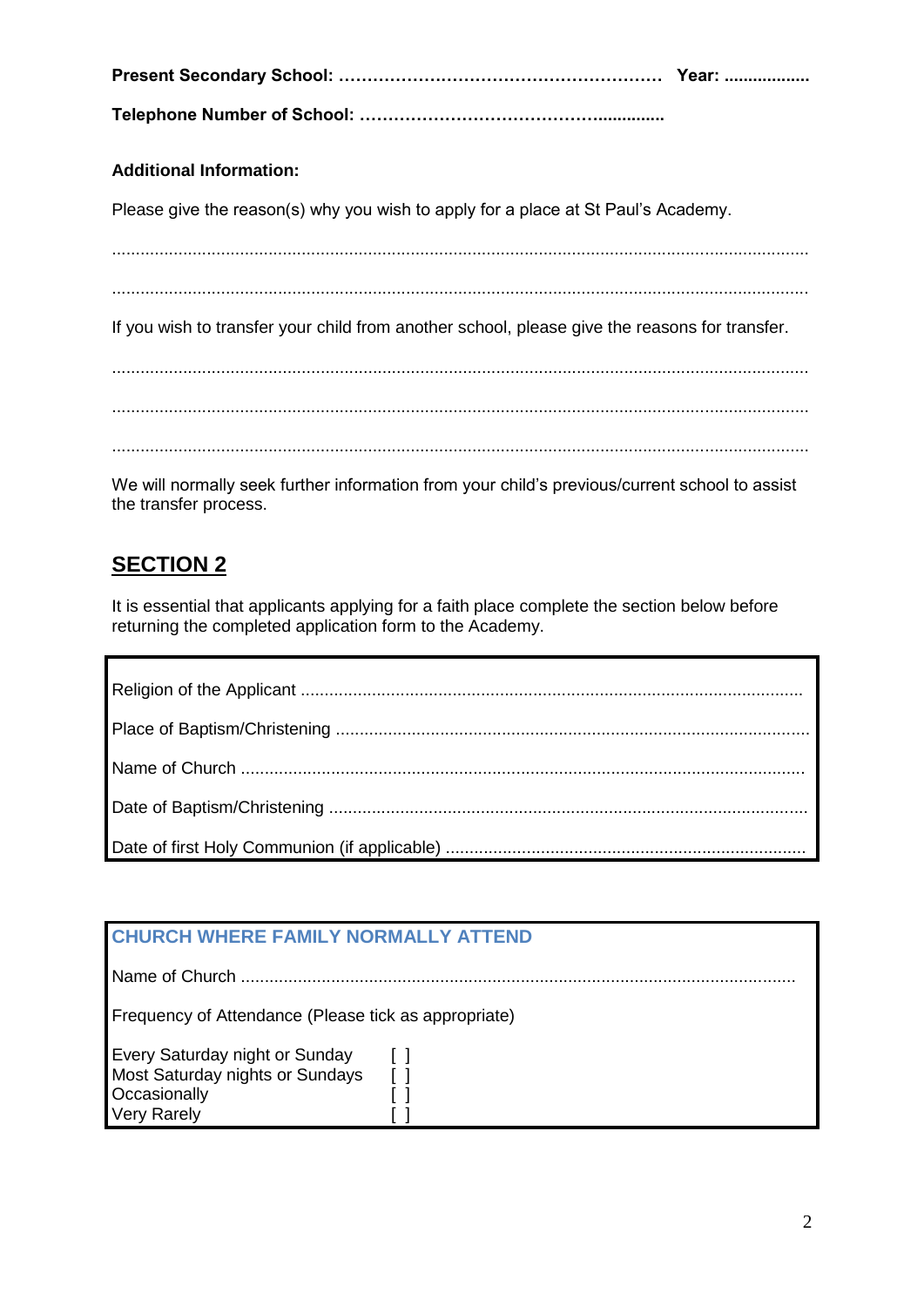**Present Secondary School: ………………………………………………… Year: ..................**

**Telephone Number of School: ……………………………………..............**

#### **Additional Information:**

Please give the reason(s) why you wish to apply for a place at St Paul's Academy.

...................................................................................................................................................

...................................................................................................................................................

If you wish to transfer your child from another school, please give the reasons for transfer.

................................................................................................................................................... ................................................................................................................................................... ...................................................................................................................................................

We will normally seek further information from your child's previous/current school to assist the transfer process.

# **SECTION 2**

It is essential that applicants applying for a faith place complete the section below before returning the completed application form to the Academy.

| <b>CHURCH WHERE FAMILY NORMALLY ATTEND</b>                                                                     |  |  |
|----------------------------------------------------------------------------------------------------------------|--|--|
|                                                                                                                |  |  |
| Frequency of Attendance (Please tick as appropriate)                                                           |  |  |
| <b>Every Saturday night or Sunday</b><br>Most Saturday nights or Sundays<br>Occasionally<br><b>Very Rarely</b> |  |  |